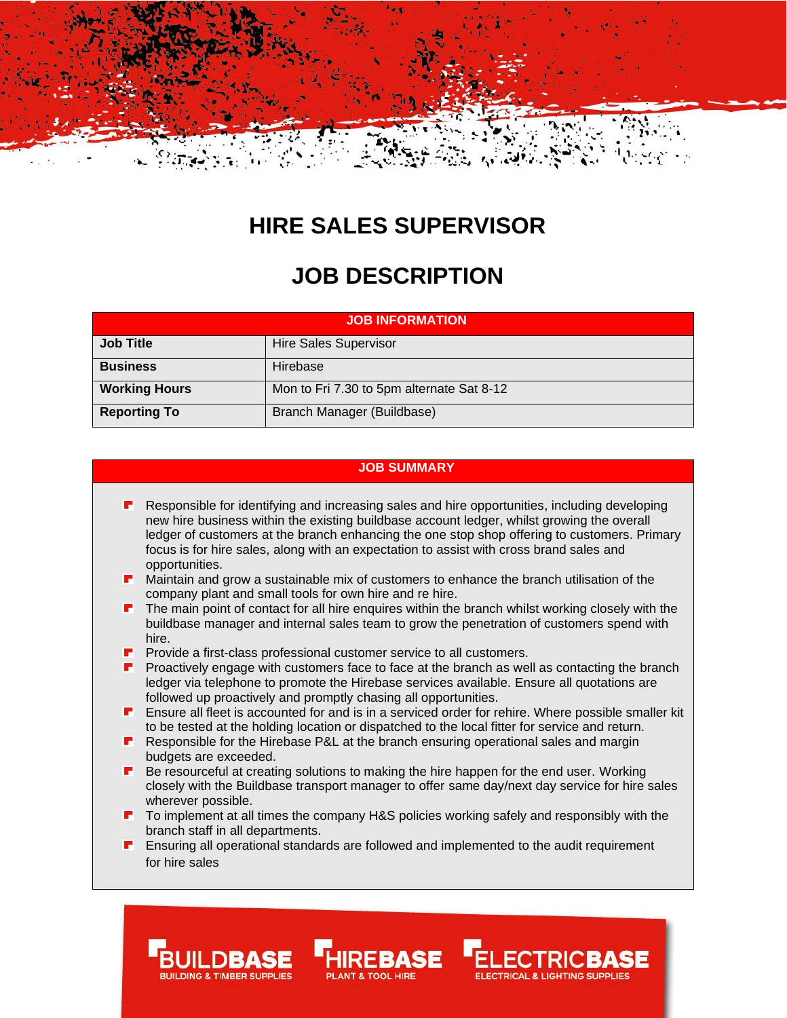

# **HIRE SALES SUPERVISOR**

# **JOB DESCRIPTION**

| <b>JOB INFORMATION</b> |                                           |
|------------------------|-------------------------------------------|
| <b>Job Title</b>       | <b>Hire Sales Supervisor</b>              |
| <b>Business</b>        | Hirebase                                  |
| <b>Working Hours</b>   | Mon to Fri 7.30 to 5pm alternate Sat 8-12 |
| <b>Reporting To</b>    | Branch Manager (Buildbase)                |

# **JOB SUMMARY**

- Responsible for identifying and increasing sales and hire opportunities, including developing г. new hire business within the existing buildbase account ledger, whilst growing the overall ledger of customers at the branch enhancing the one stop shop offering to customers. Primary focus is for hire sales, along with an expectation to assist with cross brand sales and opportunities.
- **Maintain and grow a sustainable mix of customers to enhance the branch utilisation of the** company plant and small tools for own hire and re hire.
- The main point of contact for all hire enquires within the branch whilst working closely with the buildbase manager and internal sales team to grow the penetration of customers spend with hire.
- Provide a first-class professional customer service to all customers.
- **P** Proactively engage with customers face to face at the branch as well as contacting the branch ledger via telephone to promote the Hirebase services available. Ensure all quotations are followed up proactively and promptly chasing all opportunities.
- **E** Ensure all fleet is accounted for and is in a serviced order for rehire. Where possible smaller kit to be tested at the holding location or dispatched to the local fitter for service and return.
- **Responsible for the Hirebase P&L at the branch ensuring operational sales and margin** budgets are exceeded.
- Be resourceful at creating solutions to making the hire happen for the end user. Working closely with the Buildbase transport manager to offer same day/next day service for hire sales wherever possible.
- To implement at all times the company H&S policies working safely and responsibly with the branch staff in all departments.
- Ensuring all operational standards are followed and implemented to the audit requirement for hire sales

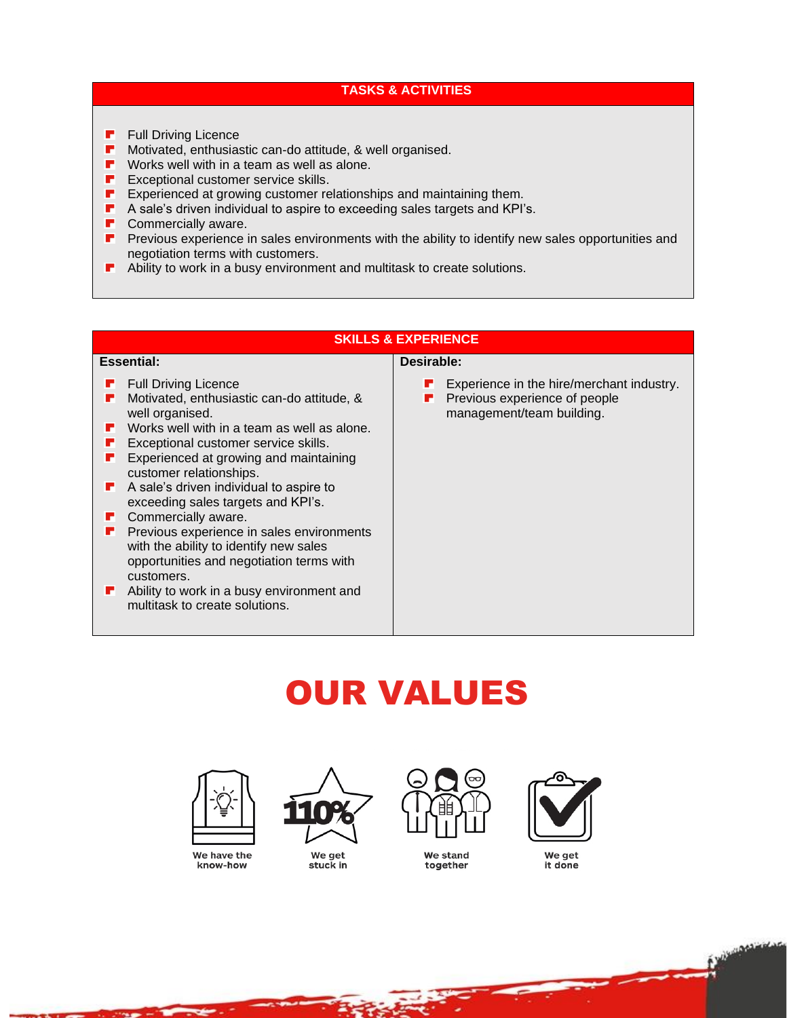### **TASKS & ACTIVITIES**

- **F** Full Driving Licence
- P. Motivated, enthusiastic can-do attitude, & well organised.
- $\blacksquare$  Works well with in a team as well as alone.
- **F** Exceptional customer service skills.
- **EXPERIENCED EXPERIENCED At Growing customer relationships and maintaining them.**
- $\blacksquare$  A sale's driven individual to aspire to exceeding sales targets and KPI's.
- **P** Commercially aware.
- **P** Previous experience in sales environments with the ability to identify new sales opportunities and negotiation terms with customers.
- **•** Ability to work in a busy environment and multitask to create solutions.

# **SKILLS & EXPERIENCE**

#### **Essential:**

- **F** Full Driving Licence
- **F** Motivated, enthusiastic can-do attitude, & well organised.
- **F** Works well with in a team as well as alone.
- **F** Exceptional customer service skills.
- **F** Experienced at growing and maintaining customer relationships.
- **A** sale's driven individual to aspire to exceeding sales targets and KPI's.
- **Commercially aware.**
- **P** Previous experience in sales environments with the ability to identify new sales opportunities and negotiation terms with customers.
- **Ability to work in a busy environment and** multitask to create solutions.

#### **Desirable:**

- Experience in the hire/merchant industry.
- п. Previous experience of people management/team building.

# OUR VALUES



We have the know-how



We get stuck in



We stand together



We aet it done

**CONTROL** 

ydd